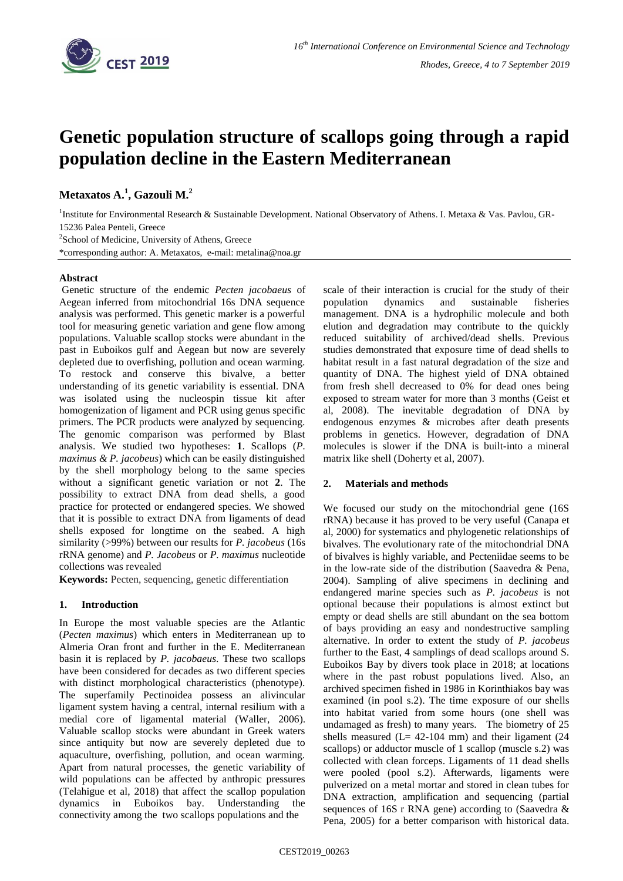

# **Genetic population structure of scallops going through a rapid population decline in the Eastern Mediterranean**

**Metaxatos A.<sup>1</sup> , Gazouli M.<sup>2</sup>**

<sup>1</sup>Institute for Environmental Research & Sustainable Development. National Observatory of Athens. I. Metaxa & Vas. Pavlou, GR-15236 Palea Penteli, Greece

<sup>2</sup>School of Medicine, University of Athens, Greece

\*corresponding author: A. Metaxatos, e-mail: metalina@noa.gr

### **Abstract**

Genetic structure of the endemic *Pecten jacobaeus* of Aegean inferred from mitochondrial 16s DNA sequence analysis was performed. This genetic marker is a powerful tool for measuring genetic variation and gene flow among populations. Valuable scallop stocks were abundant in the past in Euboikos gulf and Aegean but now are severely depleted due to overfishing, pollution and ocean warming. To restock and conserve this bivalve, a better understanding of its genetic variability is essential. DNA was isolated using the nucleospin tissue kit after homogenization of ligament and PCR using genus specific primers. The PCR products were analyzed by sequencing. The genomic comparison was performed by Blast analysis. We studied two hypotheses: **1**. Scallops (*P. maximus & P. jacobeus*) which can be easily distinguished by the shell morphology belong to the same species without a significant genetic variation or not **2**. The possibility to extract DNA from dead shells, a good practice for protected or endangered species. We showed that it is possible to extract DNA from ligaments of dead shells exposed for longtime on the seabed. A high similarity (>99%) between our results for *P. jacobeus* (16s rRNA genome) and *P. Jacobeus* or *P. maximus* nucleotide collections was revealed

**Keywords:** Pecten, sequencing, genetic differentiation

### **1. Introduction**

In Europe the most valuable species are the Atlantic (*Pecten maximus*) which enters in Mediterranean up to Almeria Oran front and further in the E. Mediterranean basin it is replaced by *P. jacobaeus*. These two scallops have been considered for decades as two different species with distinct morphological characteristics (phenotype). The superfamily Pectinoidea possess an alivincular ligament system having a central, internal resilium with a medial core of ligamental material (Waller, 2006). Valuable scallop stocks were abundant in Greek waters since antiquity but now are severely depleted due to aquaculture, overfishing, pollution, and ocean warming. Apart from natural processes, the genetic variability of wild populations can be affected by anthropic pressures (Telahigue et al, 2018) that affect the scallop population dynamics in Euboikos bay. Understanding the connectivity among the two scallops populations and the

scale of their interaction is crucial for the study of their population dynamics and sustainable fisheries management. DNA is a hydrophilic molecule and both elution and degradation may contribute to the quickly reduced suitability of archived/dead shells. Previous studies demonstrated that exposure time of dead shells to habitat result in a fast natural degradation of the size and quantity of DNA. The highest yield of DNA obtained from fresh shell decreased to 0% for dead ones being exposed to stream water for more than 3 months (Geist et al, 2008). The inevitable degradation of DNA by endogenous enzymes & microbes after death presents problems in genetics. However, degradation of DNA molecules is slower if the DNA is built-into a mineral matrix like shell (Doherty et al, 2007).

### **2. Materials and methods**

We focused our study on the mitochondrial gene (16S) rRNA) because it has proved to be very useful (Canapa et al, 2000) for systematics and phylogenetic relationships of bivalves. The evolutionary rate of the mitochondrial DNA of bivalves is highly variable, and Pecteniidae seems to be in the low-rate side of the distribution (Saavedra & Pena, 2004). Sampling of alive specimens in declining and endangered marine species such as *P. jacobeus* is not optional because their populations is almost extinct but empty or dead shells are still abundant on the sea bottom of bays providing an easy and nondestructive sampling alternative. In order to extent the study of *P. jacobeus* further to the East, 4 samplings of dead scallops around S. Euboikos Bay by divers took place in 2018; at locations where in the past robust populations lived. Also, an archived specimen fished in 1986 in Korinthiakos bay was examined (in pool s.2). The time exposure of our shells into habitat varied from some hours (one shell was undamaged as fresh) to many years. The biometry of 25 shells measured  $(L = 42-104$  mm) and their ligament  $(24$ scallops) or adductor muscle of 1 scallop (muscle s.2) was collected with clean forceps. Ligaments of 11 dead shells were pooled (pool s.2). Afterwards, ligaments were pulverized on a metal mortar and stored in clean tubes for DNA extraction, amplification and sequencing (partial sequences of 16S r RNA gene) according to (Saavedra & Pena, 2005) for a better comparison with historical data.